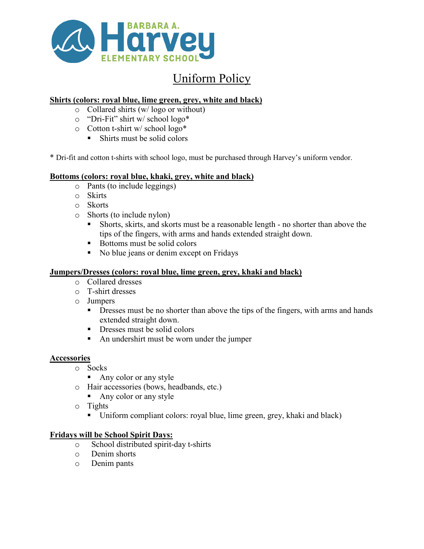

# Uniform Policy

# **Shirts (colors: royal blue, lime green, grey, white and black)**

- o Collared shirts (w/ logo or without)
- o "Dri-Fit" shirt w/ school logo\*
- o Cotton t-shirt w/ school logo\*
	- Shirts must be solid colors

\* Dri-fit and cotton t-shirts with school logo, must be purchased through Harvey's uniform vendor.

#### **Bottoms (colors: royal blue, khaki, grey, white and black)**

- o Pants (to include leggings)
- o Skirts
- o Skorts
- o Shorts (to include nylon)
	- Shorts, skirts, and skorts must be a reasonable length no shorter than above the tips of the fingers, with arms and hands extended straight down.
	- Bottoms must be solid colors
	- No blue jeans or denim except on Fridays

# **Jumpers/Dresses (colors: royal blue, lime green, grey, khaki and black)**

- o Collared dresses
- o T-shirt dresses
- o Jumpers
	- **Dresses must be no shorter than above the tips of the fingers, with arms and hands** extended straight down.
	- $\blacksquare$  Dresses must be solid colors
	- An undershirt must be worn under the jumper

## **Accessories**

- o Socks
	- Any color or any style
- o Hair accessories (bows, headbands, etc.)
	- Any color or any style
- o Tights
	- Uniform compliant colors: royal blue, lime green, grey, khaki and black)

## **Fridays will be School Spirit Days:**

- o School distributed spirit-day t-shirts
- Denim shorts
- o Denim pants